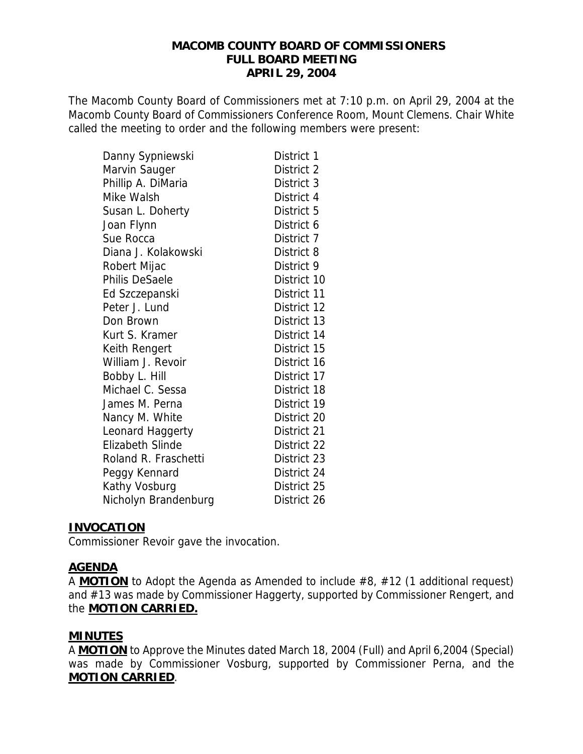#### **MACOMB COUNTY BOARD OF COMMISSIONERS FULL BOARD MEETING APRIL 29, 2004**

The Macomb County Board of Commissioners met at 7:10 p.m. on April 29, 2004 at the Macomb County Board of Commissioners Conference Room, Mount Clemens. Chair White called the meeting to order and the following members were present:

| Danny Sypniewski        | District 1  |
|-------------------------|-------------|
| Marvin Sauger           | District 2  |
| Phillip A. DiMaria      | District 3  |
| Mike Walsh              | District 4  |
| Susan L. Doherty        | District 5  |
| Joan Flynn              | District 6  |
| Sue Rocca               | District 7  |
| Diana J. Kolakowski     | District 8  |
| Robert Mijac            | District 9  |
| Philis DeSaele          | District 10 |
| Ed Szczepanski          | District 11 |
| Peter J. Lund           | District 12 |
| Don Brown               | District 13 |
| Kurt S. Kramer          | District 14 |
| Keith Rengert           | District 15 |
| William J. Revoir       | District 16 |
| Bobby L. Hill           | District 17 |
| Michael C. Sessa        | District 18 |
| James M. Perna          | District 19 |
| Nancy M. White          | District 20 |
| Leonard Haggerty        | District 21 |
| <b>Elizabeth Slinde</b> | District 22 |
| Roland R. Fraschetti    | District 23 |
| Peggy Kennard           | District 24 |
| Kathy Vosburg           | District 25 |
| Nicholyn Brandenburg    | District 26 |

### **INVOCATION**

Commissioner Revoir gave the invocation.

### **AGENDA**

A **MOTION** to Adopt the Agenda as Amended to include #8, #12 (1 additional request) and #13 was made by Commissioner Haggerty, supported by Commissioner Rengert, and the **MOTION CARRIED.**

### **MINUTES**

A **MOTION** to Approve the Minutes dated March 18, 2004 (Full) and April 6,2004 (Special) was made by Commissioner Vosburg, supported by Commissioner Perna, and the **MOTION CARRIED**.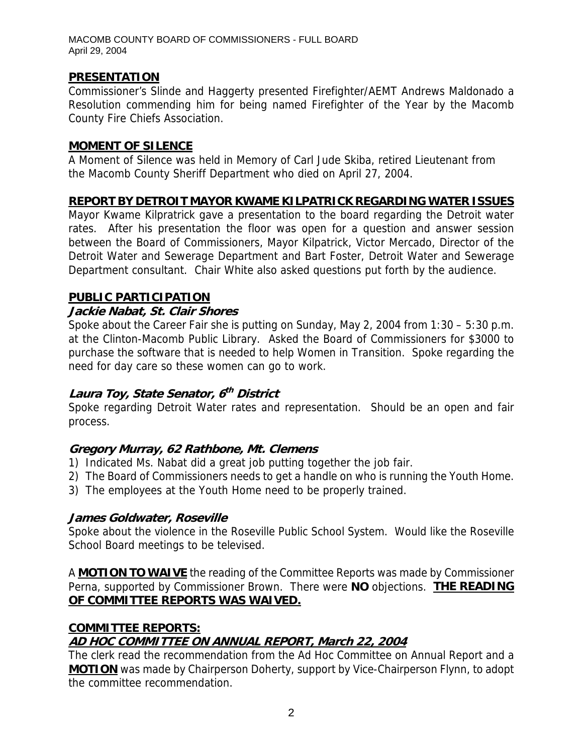# **PRESENTATION**

Commissioner's Slinde and Haggerty presented Firefighter/AEMT Andrews Maldonado a Resolution commending him for being named Firefighter of the Year by the Macomb County Fire Chiefs Association.

#### **MOMENT OF SILENCE**

A Moment of Silence was held in Memory of Carl Jude Skiba, retired Lieutenant from the Macomb County Sheriff Department who died on April 27, 2004.

### **REPORT BY DETROIT MAYOR KWAME KILPATRICK REGARDING WATER ISSUES**

Mayor Kwame Kilpratrick gave a presentation to the board regarding the Detroit water rates. After his presentation the floor was open for a question and answer session between the Board of Commissioners, Mayor Kilpatrick, Victor Mercado, Director of the Detroit Water and Sewerage Department and Bart Foster, Detroit Water and Sewerage Department consultant. Chair White also asked questions put forth by the audience.

### **PUBLIC PARTICIPATION**

### **Jackie Nabat, St. Clair Shores**

Spoke about the Career Fair she is putting on Sunday, May 2, 2004 from 1:30 – 5:30 p.m. at the Clinton-Macomb Public Library. Asked the Board of Commissioners for \$3000 to purchase the software that is needed to help Women in Transition. Spoke regarding the need for day care so these women can go to work.

# **Laura Toy, State Senator, 6th District**

Spoke regarding Detroit Water rates and representation. Should be an open and fair process.

### **Gregory Murray, 62 Rathbone, Mt. Clemens**

- 1) Indicated Ms. Nabat did a great job putting together the job fair.
- 2) The Board of Commissioners needs to get a handle on who is running the Youth Home.
- 3) The employees at the Youth Home need to be properly trained.

### **James Goldwater, Roseville**

Spoke about the violence in the Roseville Public School System. Would like the Roseville School Board meetings to be televised.

A **MOTION TO WAIVE** the reading of the Committee Reports was made by Commissioner Perna, supported by Commissioner Brown. There were **NO** objections. **THE READING OF COMMITTEE REPORTS WAS WAIVED.**

# **COMMITTEE REPORTS: AD HOC COMMITTEE ON ANNUAL REPORT, March 22, 2004**

The clerk read the recommendation from the Ad Hoc Committee on Annual Report and a **MOTION** was made by Chairperson Doherty, support by Vice-Chairperson Flynn, to adopt the committee recommendation.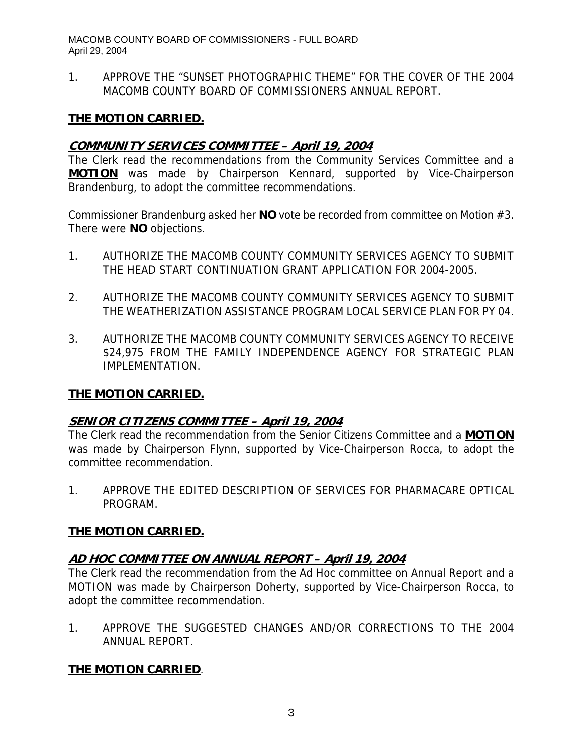1. APPROVE THE "SUNSET PHOTOGRAPHIC THEME" FOR THE COVER OF THE 2004 MACOMB COUNTY BOARD OF COMMISSIONERS ANNUAL REPORT.

# **THE MOTION CARRIED.**

## **COMMUNITY SERVICES COMMITTEE – April 19, 2004**

The Clerk read the recommendations from the Community Services Committee and a **MOTION** was made by Chairperson Kennard, supported by Vice-Chairperson Brandenburg, to adopt the committee recommendations.

Commissioner Brandenburg asked her **NO** vote be recorded from committee on Motion #3. There were **NO** objections.

- 1. AUTHORIZE THE MACOMB COUNTY COMMUNITY SERVICES AGENCY TO SUBMIT THE HEAD START CONTINUATION GRANT APPLICATION FOR 2004-2005.
- 2. AUTHORIZE THE MACOMB COUNTY COMMUNITY SERVICES AGENCY TO SUBMIT THE WEATHERIZATION ASSISTANCE PROGRAM LOCAL SERVICE PLAN FOR PY 04.
- 3. AUTHORIZE THE MACOMB COUNTY COMMUNITY SERVICES AGENCY TO RECEIVE \$24,975 FROM THE FAMILY INDEPENDENCE AGENCY FOR STRATEGIC PLAN IMPLEMENTATION.

### **THE MOTION CARRIED.**

### **SENIOR CITIZENS COMMITTEE – April 19, 2004**

The Clerk read the recommendation from the Senior Citizens Committee and a **MOTION** was made by Chairperson Flynn, supported by Vice-Chairperson Rocca, to adopt the committee recommendation.

1. APPROVE THE EDITED DESCRIPTION OF SERVICES FOR PHARMACARE OPTICAL PROGRAM.

### **THE MOTION CARRIED.**

# **AD HOC COMMITTEE ON ANNUAL REPORT – April 19, 2004**

The Clerk read the recommendation from the Ad Hoc committee on Annual Report and a MOTION was made by Chairperson Doherty, supported by Vice-Chairperson Rocca, to adopt the committee recommendation.

1. APPROVE THE SUGGESTED CHANGES AND/OR CORRECTIONS TO THE 2004 ANNUAL REPORT.

# **THE MOTION CARRIED**.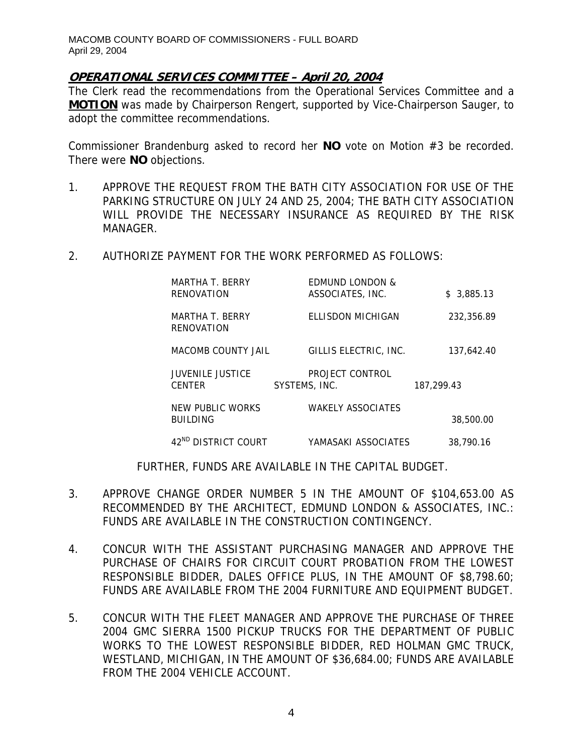## **OPERATIONAL SERVICES COMMITTEE – April 20, 2004**

The Clerk read the recommendations from the Operational Services Committee and a **MOTION** was made by Chairperson Rengert, supported by Vice-Chairperson Sauger, to adopt the committee recommendations.

Commissioner Brandenburg asked to record her **NO** vote on Motion #3 be recorded. There were **NO** objections.

- 1. APPROVE THE REQUEST FROM THE BATH CITY ASSOCIATION FOR USE OF THE PARKING STRUCTURE ON JULY 24 AND 25, 2004; THE BATH CITY ASSOCIATION WILL PROVIDE THE NECESSARY INSURANCE AS REQUIRED BY THE RISK MANAGER.
- 2. AUTHORIZE PAYMENT FOR THE WORK PERFORMED AS FOLLOWS:

| MARTHA T. BERRY<br>RENOVATION            | <b>EDMUND LONDON &amp;</b><br>ASSOCIATES, INC. | \$3,885.13 |
|------------------------------------------|------------------------------------------------|------------|
| MARTHA T. BERRY<br>RENOVATION            | ELLISDON MICHIGAN                              | 232.356.89 |
| MACOMB COUNTY JAIL                       | GILLIS ELECTRIC, INC.                          | 137.642.40 |
| <b>JUVENILE JUSTICE</b><br><b>CENTER</b> | PROJECT CONTROL<br>SYSTEMS, INC.               | 187,299.43 |
| NEW PUBLIC WORKS<br><b>BUILDING</b>      | <b>WAKELY ASSOCIATES</b>                       | 38,500.00  |
| 42 <sup>ND</sup> DISTRICT COURT          | YAMASAKI ASSOCIATES                            | 38,790.16  |

FURTHER, FUNDS ARE AVAILABLE IN THE CAPITAL BUDGET.

- 3. APPROVE CHANGE ORDER NUMBER 5 IN THE AMOUNT OF \$104,653.00 AS RECOMMENDED BY THE ARCHITECT, EDMUND LONDON & ASSOCIATES, INC.: FUNDS ARE AVAILABLE IN THE CONSTRUCTION CONTINGENCY.
- 4. CONCUR WITH THE ASSISTANT PURCHASING MANAGER AND APPROVE THE PURCHASE OF CHAIRS FOR CIRCUIT COURT PROBATION FROM THE LOWEST RESPONSIBLE BIDDER, DALES OFFICE PLUS, IN THE AMOUNT OF \$8,798.60; FUNDS ARE AVAILABLE FROM THE 2004 FURNITURE AND EQUIPMENT BUDGET.
- 5. CONCUR WITH THE FLEET MANAGER AND APPROVE THE PURCHASE OF THREE 2004 GMC SIERRA 1500 PICKUP TRUCKS FOR THE DEPARTMENT OF PUBLIC WORKS TO THE LOWEST RESPONSIBLE BIDDER, RED HOLMAN GMC TRUCK, WESTLAND, MICHIGAN, IN THE AMOUNT OF \$36,684.00; FUNDS ARE AVAILABLE FROM THE 2004 VEHICLE ACCOUNT.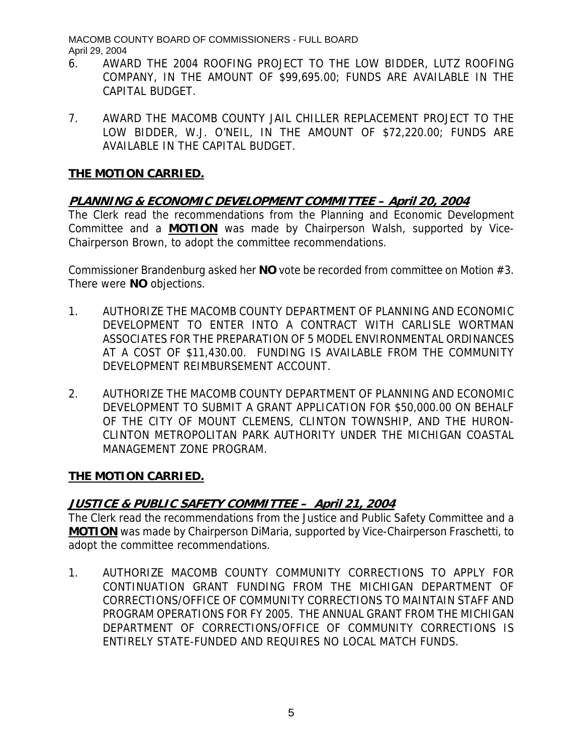- 6. AWARD THE 2004 ROOFING PROJECT TO THE LOW BIDDER, LUTZ ROOFING COMPANY, IN THE AMOUNT OF \$99,695.00; FUNDS ARE AVAILABLE IN THE CAPITAL BUDGET.
- 7. AWARD THE MACOMB COUNTY JAIL CHILLER REPLACEMENT PROJECT TO THE LOW BIDDER, W.J. O'NEIL, IN THE AMOUNT OF \$72,220.00; FUNDS ARE AVAILABLE IN THE CAPITAL BUDGET.

# **THE MOTION CARRIED.**

# **PLANNING & ECONOMIC DEVELOPMENT COMMITTEE – April 20, 2004**

The Clerk read the recommendations from the Planning and Economic Development Committee and a **MOTION** was made by Chairperson Walsh, supported by Vice-Chairperson Brown, to adopt the committee recommendations.

Commissioner Brandenburg asked her **NO** vote be recorded from committee on Motion #3. There were **NO** objections.

- 1. AUTHORIZE THE MACOMB COUNTY DEPARTMENT OF PLANNING AND ECONOMIC DEVELOPMENT TO ENTER INTO A CONTRACT WITH CARLISLE WORTMAN ASSOCIATES FOR THE PREPARATION OF 5 MODEL ENVIRONMENTAL ORDINANCES AT A COST OF \$11,430.00. FUNDING IS AVAILABLE FROM THE COMMUNITY DEVELOPMENT REIMBURSEMENT ACCOUNT.
- 2. AUTHORIZE THE MACOMB COUNTY DEPARTMENT OF PLANNING AND ECONOMIC DEVELOPMENT TO SUBMIT A GRANT APPLICATION FOR \$50,000.00 ON BEHALF OF THE CITY OF MOUNT CLEMENS, CLINTON TOWNSHIP, AND THE HURON-CLINTON METROPOLITAN PARK AUTHORITY UNDER THE MICHIGAN COASTAL MANAGEMENT ZONE PROGRAM.

# **THE MOTION CARRIED.**

# **JUSTICE & PUBLIC SAFETY COMMITTEE – April 21, 2004**

The Clerk read the recommendations from the Justice and Public Safety Committee and a **MOTION** was made by Chairperson DiMaria, supported by Vice-Chairperson Fraschetti, to adopt the committee recommendations.

1. AUTHORIZE MACOMB COUNTY COMMUNITY CORRECTIONS TO APPLY FOR CONTINUATION GRANT FUNDING FROM THE MICHIGAN DEPARTMENT OF CORRECTIONS/OFFICE OF COMMUNITY CORRECTIONS TO MAINTAIN STAFF AND PROGRAM OPERATIONS FOR FY 2005. THE ANNUAL GRANT FROM THE MICHIGAN DEPARTMENT OF CORRECTIONS/OFFICE OF COMMUNITY CORRECTIONS IS ENTIRELY STATE-FUNDED AND REQUIRES NO LOCAL MATCH FUNDS.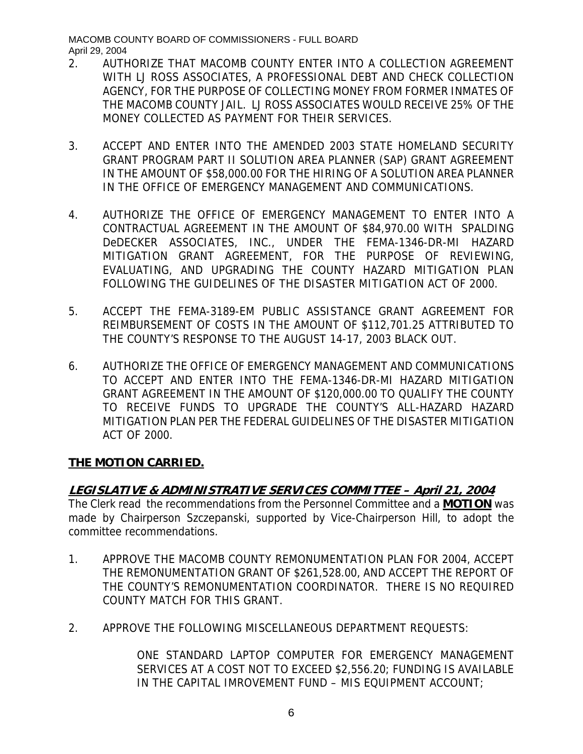- 2. AUTHORIZE THAT MACOMB COUNTY ENTER INTO A COLLECTION AGREEMENT WITH LJ ROSS ASSOCIATES, A PROFESSIONAL DEBT AND CHECK COLLECTION AGENCY, FOR THE PURPOSE OF COLLECTING MONEY FROM FORMER INMATES OF THE MACOMB COUNTY JAIL. LJ ROSS ASSOCIATES WOULD RECEIVE 25% OF THE MONEY COLLECTED AS PAYMENT FOR THEIR SERVICES.
- 3. ACCEPT AND ENTER INTO THE AMENDED 2003 STATE HOMELAND SECURITY GRANT PROGRAM PART II SOLUTION AREA PLANNER (SAP) GRANT AGREEMENT IN THE AMOUNT OF \$58,000.00 FOR THE HIRING OF A SOLUTION AREA PLANNER IN THE OFFICE OF EMERGENCY MANAGEMENT AND COMMUNICATIONS.
- 4. AUTHORIZE THE OFFICE OF EMERGENCY MANAGEMENT TO ENTER INTO A CONTRACTUAL AGREEMENT IN THE AMOUNT OF \$84,970.00 WITH SPALDING DeDECKER ASSOCIATES, INC., UNDER THE FEMA-1346-DR-MI HAZARD MITIGATION GRANT AGREEMENT, FOR THE PURPOSE OF REVIEWING, EVALUATING, AND UPGRADING THE COUNTY HAZARD MITIGATION PLAN FOLLOWING THE GUIDELINES OF THE DISASTER MITIGATION ACT OF 2000.
- 5. ACCEPT THE FEMA-3189-EM PUBLIC ASSISTANCE GRANT AGREEMENT FOR REIMBURSEMENT OF COSTS IN THE AMOUNT OF \$112,701.25 ATTRIBUTED TO THE COUNTY'S RESPONSE TO THE AUGUST 14-17, 2003 BLACK OUT.
- 6. AUTHORIZE THE OFFICE OF EMERGENCY MANAGEMENT AND COMMUNICATIONS TO ACCEPT AND ENTER INTO THE FEMA-1346-DR-MI HAZARD MITIGATION GRANT AGREEMENT IN THE AMOUNT OF \$120,000.00 TO QUALIFY THE COUNTY TO RECEIVE FUNDS TO UPGRADE THE COUNTY'S ALL-HAZARD HAZARD MITIGATION PLAN PER THE FEDERAL GUIDELINES OF THE DISASTER MITIGATION ACT OF 2000.

# **THE MOTION CARRIED.**

# **LEGISLATIVE & ADMINISTRATIVE SERVICES COMMITTEE – April 21, 2004**

The Clerk read the recommendations from the Personnel Committee and a **MOTION** was made by Chairperson Szczepanski, supported by Vice-Chairperson Hill, to adopt the committee recommendations.

- 1. APPROVE THE MACOMB COUNTY REMONUMENTATION PLAN FOR 2004, ACCEPT THE REMONUMENTATION GRANT OF \$261,528.00, AND ACCEPT THE REPORT OF THE COUNTY'S REMONUMENTATION COORDINATOR. THERE IS NO REQUIRED COUNTY MATCH FOR THIS GRANT.
- 2. APPROVE THE FOLLOWING MISCELLANEOUS DEPARTMENT REQUESTS:

ONE STANDARD LAPTOP COMPUTER FOR EMERGENCY MANAGEMENT SERVICES AT A COST NOT TO EXCEED \$2,556.20; FUNDING IS AVAILABLE IN THE CAPITAL IMROVEMENT FUND – MIS EQUIPMENT ACCOUNT;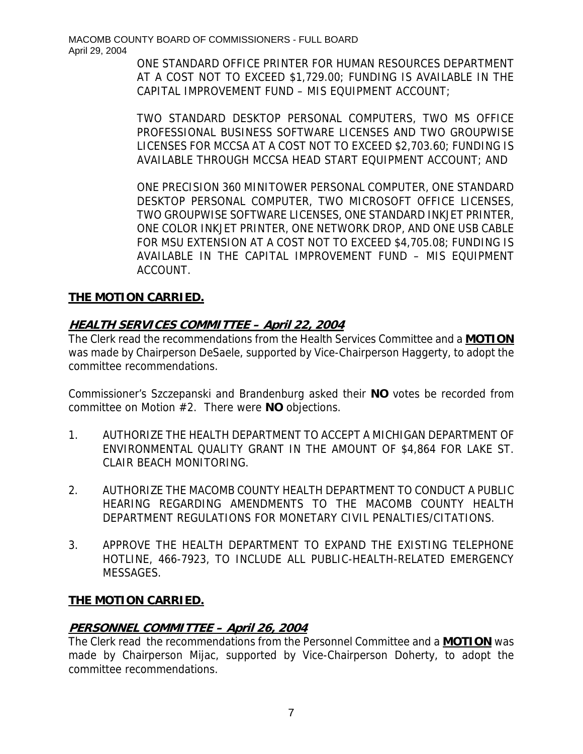ONE STANDARD OFFICE PRINTER FOR HUMAN RESOURCES DEPARTMENT AT A COST NOT TO EXCEED \$1,729.00; FUNDING IS AVAILABLE IN THE CAPITAL IMPROVEMENT FUND – MIS EQUIPMENT ACCOUNT;

TWO STANDARD DESKTOP PERSONAL COMPUTERS, TWO MS OFFICE PROFESSIONAL BUSINESS SOFTWARE LICENSES AND TWO GROUPWISE LICENSES FOR MCCSA AT A COST NOT TO EXCEED \$2,703.60; FUNDING IS AVAILABLE THROUGH MCCSA HEAD START EQUIPMENT ACCOUNT; AND

ONE PRECISION 360 MINITOWER PERSONAL COMPUTER, ONE STANDARD DESKTOP PERSONAL COMPUTER, TWO MICROSOFT OFFICE LICENSES, TWO GROUPWISE SOFTWARE LICENSES, ONE STANDARD INKJET PRINTER, ONE COLOR INKJET PRINTER, ONE NETWORK DROP, AND ONE USB CABLE FOR MSU EXTENSION AT A COST NOT TO EXCEED \$4,705.08; FUNDING IS AVAILABLE IN THE CAPITAL IMPROVEMENT FUND – MIS EQUIPMENT ACCOUNT.

# **THE MOTION CARRIED.**

# **HEALTH SERVICES COMMITTEE – April 22, 2004**

The Clerk read the recommendations from the Health Services Committee and a **MOTION** was made by Chairperson DeSaele, supported by Vice-Chairperson Haggerty, to adopt the committee recommendations.

Commissioner's Szczepanski and Brandenburg asked their **NO** votes be recorded from committee on Motion #2. There were **NO** objections.

- 1. AUTHORIZE THE HEALTH DEPARTMENT TO ACCEPT A MICHIGAN DEPARTMENT OF ENVIRONMENTAL QUALITY GRANT IN THE AMOUNT OF \$4,864 FOR LAKE ST. CLAIR BEACH MONITORING.
- 2. AUTHORIZE THE MACOMB COUNTY HEALTH DEPARTMENT TO CONDUCT A PUBLIC HEARING REGARDING AMENDMENTS TO THE MACOMB COUNTY HEALTH DEPARTMENT REGULATIONS FOR MONETARY CIVIL PENALTIES/CITATIONS.
- 3. APPROVE THE HEALTH DEPARTMENT TO EXPAND THE EXISTING TELEPHONE HOTLINE, 466-7923, TO INCLUDE ALL PUBLIC-HEALTH-RELATED EMERGENCY MESSAGES.

# **THE MOTION CARRIED.**

# **PERSONNEL COMMITTEE – April 26, 2004**

The Clerk read the recommendations from the Personnel Committee and a **MOTION** was made by Chairperson Mijac, supported by Vice-Chairperson Doherty, to adopt the committee recommendations.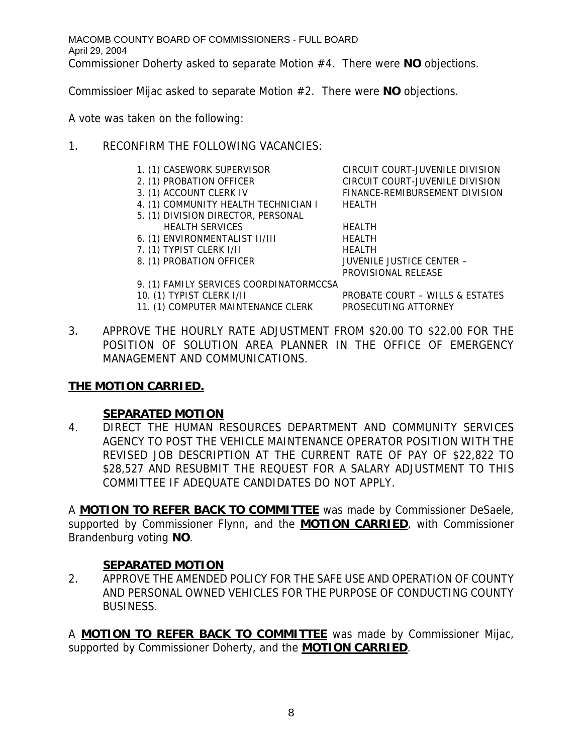Commissioer Mijac asked to separate Motion #2. There were **NO** objections.

A vote was taken on the following:

# 1. RECONFIRM THE FOLLOWING VACANCIES:

- 
- 
- 
- 4. (1) COMMUNITY HEALTH TECHNICIAN I HEALTH
- 5. (1) DIVISION DIRECTOR, PERSONAL
- HEALTH SERVICES HEALTH
- 6. (1) ENVIRONMENTALIST II/III HEALTH
- 7. (1) TYPIST CLERK I/II HEALTH
	-

9. (1) FAMILY SERVICES COORDINATORMCCSA

- 10. (1) TYPIST CLERK I/II PROBATE COURT WILLS & ESTATES
- 11. (1) COMPUTER MAINTENANCE CLERK PROSECUTING ATTORNEY

1. (1) CASEWORK SUPERVISOR CIRCUIT COURT-JUVENILE DIVISION 2. (1) PROBATION OFFICER CIRCUIT COURT-JUVENILE DIVISION 3. (1) ACCOUNT CLERK IV FINANCE-REMIBURSEMENT DIVISION

8. (1) PROBATION OFFICER JUVENILE JUSTICE CENTER -PROVISIONAL RELEASE

3. APPROVE THE HOURLY RATE ADJUSTMENT FROM \$20.00 TO \$22.00 FOR THE POSITION OF SOLUTION AREA PLANNER IN THE OFFICE OF EMERGENCY MANAGEMENT AND COMMUNICATIONS.

# **THE MOTION CARRIED.**

# **SEPARATED MOTION**

4. DIRECT THE HUMAN RESOURCES DEPARTMENT AND COMMUNITY SERVICES AGENCY TO POST THE VEHICLE MAINTENANCE OPERATOR POSITION WITH THE REVISED JOB DESCRIPTION AT THE CURRENT RATE OF PAY OF \$22,822 TO \$28,527 AND RESUBMIT THE REQUEST FOR A SALARY ADJUSTMENT TO THIS COMMITTEE IF ADEQUATE CANDIDATES DO NOT APPLY.

A **MOTION TO REFER BACK TO COMMITTEE** was made by Commissioner DeSaele, supported by Commissioner Flynn, and the **MOTION CARRIED**, with Commissioner Brandenburg voting **NO**.

# **SEPARATED MOTION**

2. APPROVE THE AMENDED POLICY FOR THE SAFE USE AND OPERATION OF COUNTY AND PERSONAL OWNED VEHICLES FOR THE PURPOSE OF CONDUCTING COUNTY BUSINESS.

A **MOTION TO REFER BACK TO COMMITTEE** was made by Commissioner Mijac, supported by Commissioner Doherty, and the **MOTION CARRIED**.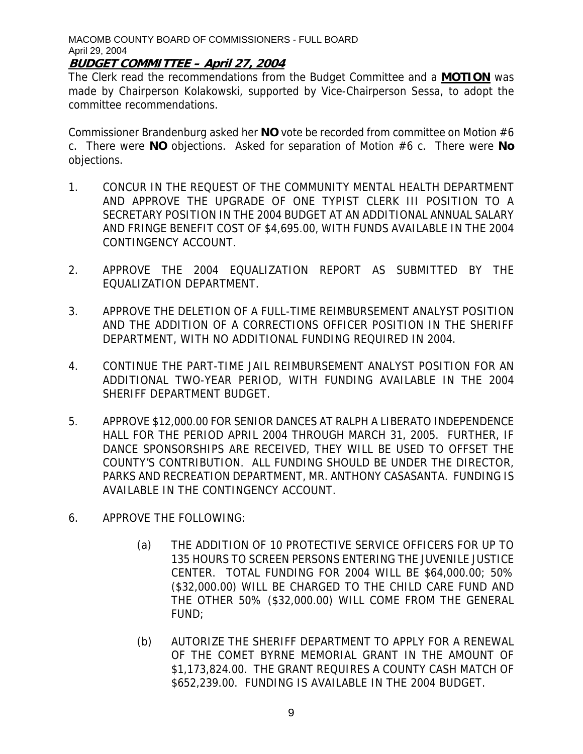## **BUDGET COMMITTEE – April 27, 2004**

The Clerk read the recommendations from the Budget Committee and a **MOTION** was made by Chairperson Kolakowski, supported by Vice-Chairperson Sessa, to adopt the committee recommendations.

Commissioner Brandenburg asked her **NO** vote be recorded from committee on Motion #6 c. There were **NO** objections. Asked for separation of Motion #6 c. There were **No** objections.

- 1. CONCUR IN THE REQUEST OF THE COMMUNITY MENTAL HEALTH DEPARTMENT AND APPROVE THE UPGRADE OF ONE TYPIST CLERK III POSITION TO A SECRETARY POSITION IN THE 2004 BUDGET AT AN ADDITIONAL ANNUAL SALARY AND FRINGE BENEFIT COST OF \$4,695.00, WITH FUNDS AVAILABLE IN THE 2004 CONTINGENCY ACCOUNT.
- 2. APPROVE THE 2004 EQUALIZATION REPORT AS SUBMITTED BY THE EQUALIZATION DEPARTMENT.
- 3. APPROVE THE DELETION OF A FULL-TIME REIMBURSEMENT ANALYST POSITION AND THE ADDITION OF A CORRECTIONS OFFICER POSITION IN THE SHERIFF DEPARTMENT, WITH NO ADDITIONAL FUNDING REQUIRED IN 2004.
- 4. CONTINUE THE PART-TIME JAIL REIMBURSEMENT ANALYST POSITION FOR AN ADDITIONAL TWO-YEAR PERIOD, WITH FUNDING AVAILABLE IN THE 2004 SHERIFF DEPARTMENT BUDGET.
- 5. APPROVE \$12,000.00 FOR SENIOR DANCES AT RALPH A LIBERATO INDEPENDENCE HALL FOR THE PERIOD APRIL 2004 THROUGH MARCH 31, 2005. FURTHER, IF DANCE SPONSORSHIPS ARE RECEIVED, THEY WILL BE USED TO OFFSET THE COUNTY'S CONTRIBUTION. ALL FUNDING SHOULD BE UNDER THE DIRECTOR, PARKS AND RECREATION DEPARTMENT, MR. ANTHONY CASASANTA. FUNDING IS AVAILABLE IN THE CONTINGENCY ACCOUNT.
- 6. APPROVE THE FOLLOWING:
	- (a) THE ADDITION OF 10 PROTECTIVE SERVICE OFFICERS FOR UP TO 135 HOURS TO SCREEN PERSONS ENTERING THE JUVENILE JUSTICE CENTER. TOTAL FUNDING FOR 2004 WILL BE \$64,000.00; 50% (\$32,000.00) WILL BE CHARGED TO THE CHILD CARE FUND AND THE OTHER 50% (\$32,000.00) WILL COME FROM THE GENERAL FUND;
	- (b) AUTORIZE THE SHERIFF DEPARTMENT TO APPLY FOR A RENEWAL OF THE COMET BYRNE MEMORIAL GRANT IN THE AMOUNT OF \$1,173,824.00. THE GRANT REQUIRES A COUNTY CASH MATCH OF \$652,239.00. FUNDING IS AVAILABLE IN THE 2004 BUDGET.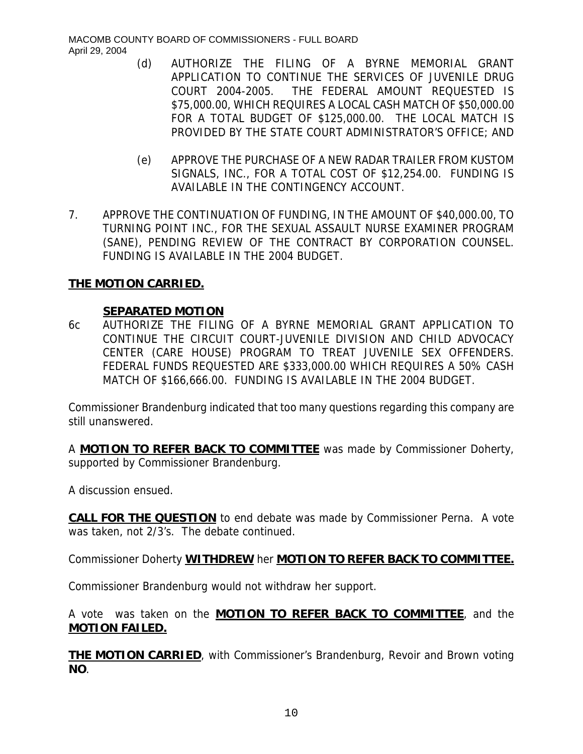- (d) AUTHORIZE THE FILING OF A BYRNE MEMORIAL GRANT APPLICATION TO CONTINUE THE SERVICES OF JUVENILE DRUG COURT 2004-2005. THE FEDERAL AMOUNT REQUESTED IS \$75,000.00, WHICH REQUIRES A LOCAL CASH MATCH OF \$50,000.00 FOR A TOTAL BUDGET OF \$125,000.00. THE LOCAL MATCH IS PROVIDED BY THE STATE COURT ADMINISTRATOR'S OFFICE; AND
- (e) APPROVE THE PURCHASE OF A NEW RADAR TRAILER FROM KUSTOM SIGNALS, INC., FOR A TOTAL COST OF \$12,254.00. FUNDING IS AVAILABLE IN THE CONTINGENCY ACCOUNT.
- 7. APPROVE THE CONTINUATION OF FUNDING, IN THE AMOUNT OF \$40,000.00, TO TURNING POINT INC., FOR THE SEXUAL ASSAULT NURSE EXAMINER PROGRAM (SANE), PENDING REVIEW OF THE CONTRACT BY CORPORATION COUNSEL. FUNDING IS AVAILABLE IN THE 2004 BUDGET.

## **THE MOTION CARRIED.**

## **SEPARATED MOTION**

6c AUTHORIZE THE FILING OF A BYRNE MEMORIAL GRANT APPLICATION TO CONTINUE THE CIRCUIT COURT-JUVENILE DIVISION AND CHILD ADVOCACY CENTER (CARE HOUSE) PROGRAM TO TREAT JUVENILE SEX OFFENDERS. FEDERAL FUNDS REQUESTED ARE \$333,000.00 WHICH REQUIRES A 50% CASH MATCH OF \$166,666.00. FUNDING IS AVAILABLE IN THE 2004 BUDGET.

Commissioner Brandenburg indicated that too many questions regarding this company are still unanswered.

A **MOTION TO REFER BACK TO COMMITTEE** was made by Commissioner Doherty, supported by Commissioner Brandenburg.

A discussion ensued.

**CALL FOR THE QUESTION** to end debate was made by Commissioner Perna. A vote was taken, not 2/3's. The debate continued.

Commissioner Doherty **WITHDREW** her **MOTION TO REFER BACK TO COMMITTEE.**

Commissioner Brandenburg would not withdraw her support.

A vote was taken on the **MOTION TO REFER BACK TO COMMITTEE**, and the **MOTION FAILED.**

**THE MOTION CARRIED**, with Commissioner's Brandenburg, Revoir and Brown voting **NO**.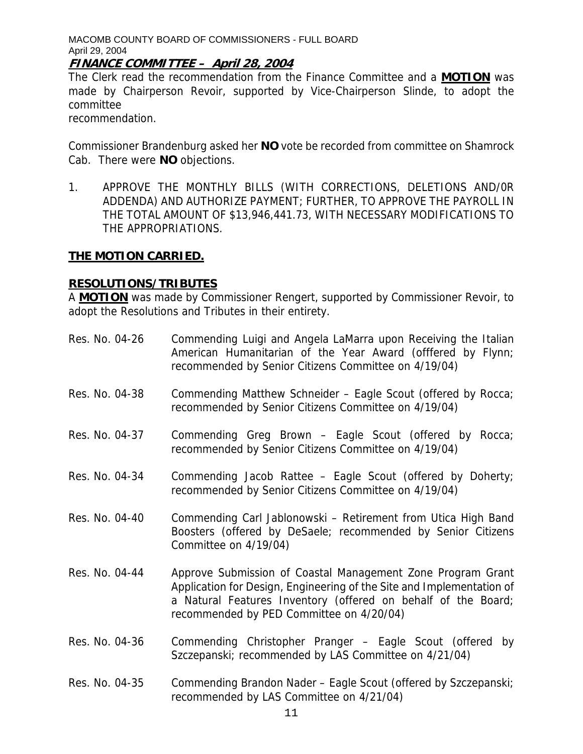### **FINANCE COMMITTEE – April 28, 2004**

The Clerk read the recommendation from the Finance Committee and a **MOTION** was made by Chairperson Revoir, supported by Vice-Chairperson Slinde, to adopt the committee

recommendation.

Commissioner Brandenburg asked her **NO** vote be recorded from committee on Shamrock Cab. There were **NO** objections.

1. APPROVE THE MONTHLY BILLS (WITH CORRECTIONS, DELETIONS AND/0R ADDENDA) AND AUTHORIZE PAYMENT; FURTHER, TO APPROVE THE PAYROLL IN THE TOTAL AMOUNT OF \$13,946,441.73, WITH NECESSARY MODIFICATIONS TO THE APPROPRIATIONS.

## **THE MOTION CARRIED.**

## **RESOLUTIONS/TRIBUTES**

A **MOTION** was made by Commissioner Rengert, supported by Commissioner Revoir, to adopt the Resolutions and Tributes in their entirety.

- Res. No. 04-26 Commending Luigi and Angela LaMarra upon Receiving the Italian American Humanitarian of the Year Award (offfered by Flynn; recommended by Senior Citizens Committee on 4/19/04)
- Res. No. 04-38 Commending Matthew Schneider Eagle Scout (offered by Rocca; recommended by Senior Citizens Committee on 4/19/04)
- Res. No. 04-37 Commending Greg Brown Eagle Scout (offered by Rocca; recommended by Senior Citizens Committee on 4/19/04)
- Res. No. 04-34 Commending Jacob Rattee Eagle Scout (offered by Doherty; recommended by Senior Citizens Committee on 4/19/04)
- Res. No. 04-40 Commending Carl Jablonowski Retirement from Utica High Band Boosters (offered by DeSaele; recommended by Senior Citizens Committee on 4/19/04)
- Res. No. 04-44 Approve Submission of Coastal Management Zone Program Grant Application for Design, Engineering of the Site and Implementation of a Natural Features Inventory (offered on behalf of the Board; recommended by PED Committee on 4/20/04)
- Res. No. 04-36 Commending Christopher Pranger Eagle Scout (offered by Szczepanski; recommended by LAS Committee on 4/21/04)
- Res. No. 04-35 Commending Brandon Nader Eagle Scout (offered by Szczepanski; recommended by LAS Committee on 4/21/04)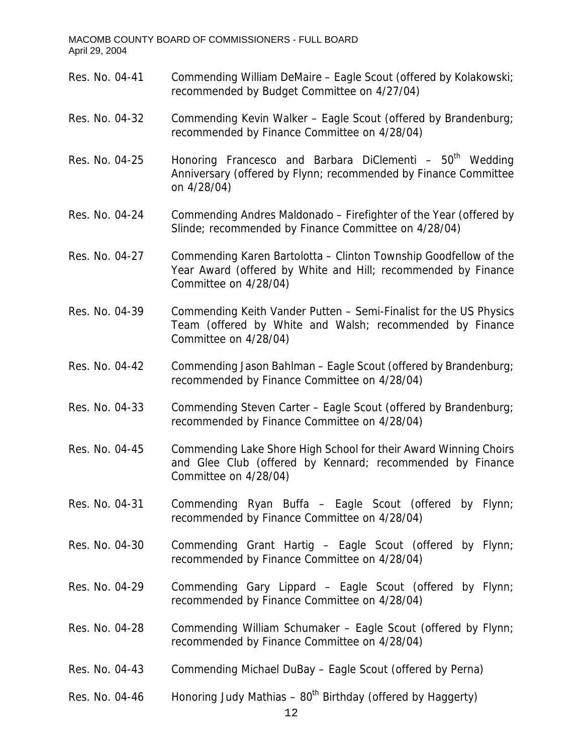- Res. No. 04-41 Commending William DeMaire Eagle Scout (offered by Kolakowski; recommended by Budget Committee on 4/27/04)
- Res. No. 04-32 Commending Kevin Walker Eagle Scout (offered by Brandenburg; recommended by Finance Committee on 4/28/04)
- Res. No. 04-25 Honoring Francesco and Barbara DiClementi  $-50<sup>th</sup>$  Wedding Anniversary (offered by Flynn; recommended by Finance Committee on 4/28/04)
- Res. No. 04-24 Commending Andres Maldonado Firefighter of the Year (offered by Slinde; recommended by Finance Committee on 4/28/04)
- Res. No. 04-27 Commending Karen Bartolotta Clinton Township Goodfellow of the Year Award (offered by White and Hill; recommended by Finance Committee on 4/28/04)
- Res. No. 04-39 Commending Keith Vander Putten Semi-Finalist for the US Physics Team (offered by White and Walsh; recommended by Finance Committee on 4/28/04)
- Res. No. 04-42 Commending Jason Bahlman Eagle Scout (offered by Brandenburg; recommended by Finance Committee on 4/28/04)
- Res. No. 04-33 Commending Steven Carter Eagle Scout (offered by Brandenburg; recommended by Finance Committee on 4/28/04)
- Res. No. 04-45 Commending Lake Shore High School for their Award Winning Choirs and Glee Club (offered by Kennard; recommended by Finance Committee on 4/28/04)
- Res. No. 04-31 Commending Ryan Buffa Eagle Scout (offered by Flynn; recommended by Finance Committee on 4/28/04)
- Res. No. 04-30 Commending Grant Hartig Eagle Scout (offered by Flynn; recommended by Finance Committee on 4/28/04)
- Res. No. 04-29 Commending Gary Lippard Eagle Scout (offered by Flynn; recommended by Finance Committee on 4/28/04)
- Res. No. 04-28 Commending William Schumaker Eagle Scout (offered by Flynn; recommended by Finance Committee on 4/28/04)
- Res. No. 04-43 Commending Michael DuBay Eagle Scout (offered by Perna)
- Res. No. 04-46 Honoring Judy Mathias  $80<sup>th</sup>$  Birthday (offered by Haggerty)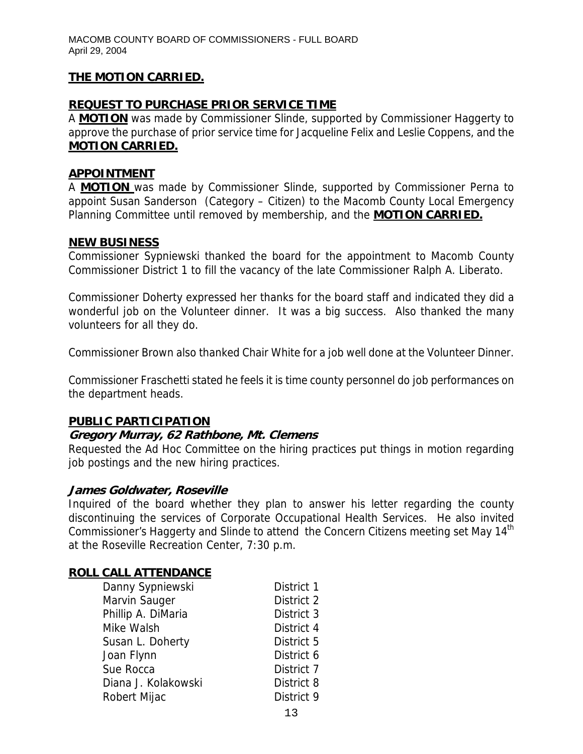# **THE MOTION CARRIED.**

# **REQUEST TO PURCHASE PRIOR SERVICE TIME**

A **MOTION** was made by Commissioner Slinde, supported by Commissioner Haggerty to approve the purchase of prior service time for Jacqueline Felix and Leslie Coppens, and the **MOTION CARRIED.**

#### **APPOINTMENT**

A **MOTION** was made by Commissioner Slinde, supported by Commissioner Perna to appoint Susan Sanderson (Category – Citizen) to the Macomb County Local Emergency Planning Committee until removed by membership, and the **MOTION CARRIED.**

#### **NEW BUSINESS**

Commissioner Sypniewski thanked the board for the appointment to Macomb County Commissioner District 1 to fill the vacancy of the late Commissioner Ralph A. Liberato.

Commissioner Doherty expressed her thanks for the board staff and indicated they did a wonderful job on the Volunteer dinner. It was a big success. Also thanked the many volunteers for all they do.

Commissioner Brown also thanked Chair White for a job well done at the Volunteer Dinner.

Commissioner Fraschetti stated he feels it is time county personnel do job performances on the department heads.

### **PUBLIC PARTICIPATION**

### **Gregory Murray, 62 Rathbone, Mt. Clemens**

Requested the Ad Hoc Committee on the hiring practices put things in motion regarding job postings and the new hiring practices.

### **James Goldwater, Roseville**

Inquired of the board whether they plan to answer his letter regarding the county discontinuing the services of Corporate Occupational Health Services. He also invited Commissioner's Haggerty and Slinde to attend the Concern Citizens meeting set May 14<sup>th</sup> at the Roseville Recreation Center, 7:30 p.m.

### **ROLL CALL ATTENDANCE**

| Danny Sypniewski    | District 1 |
|---------------------|------------|
| Marvin Sauger       | District 2 |
| Phillip A. DiMaria  | District 3 |
| Mike Walsh          | District 4 |
| Susan L. Doherty    | District 5 |
| Joan Flynn          | District 6 |
| Sue Rocca           | District 7 |
| Diana J. Kolakowski | District 8 |
| Robert Mijac        | District 9 |